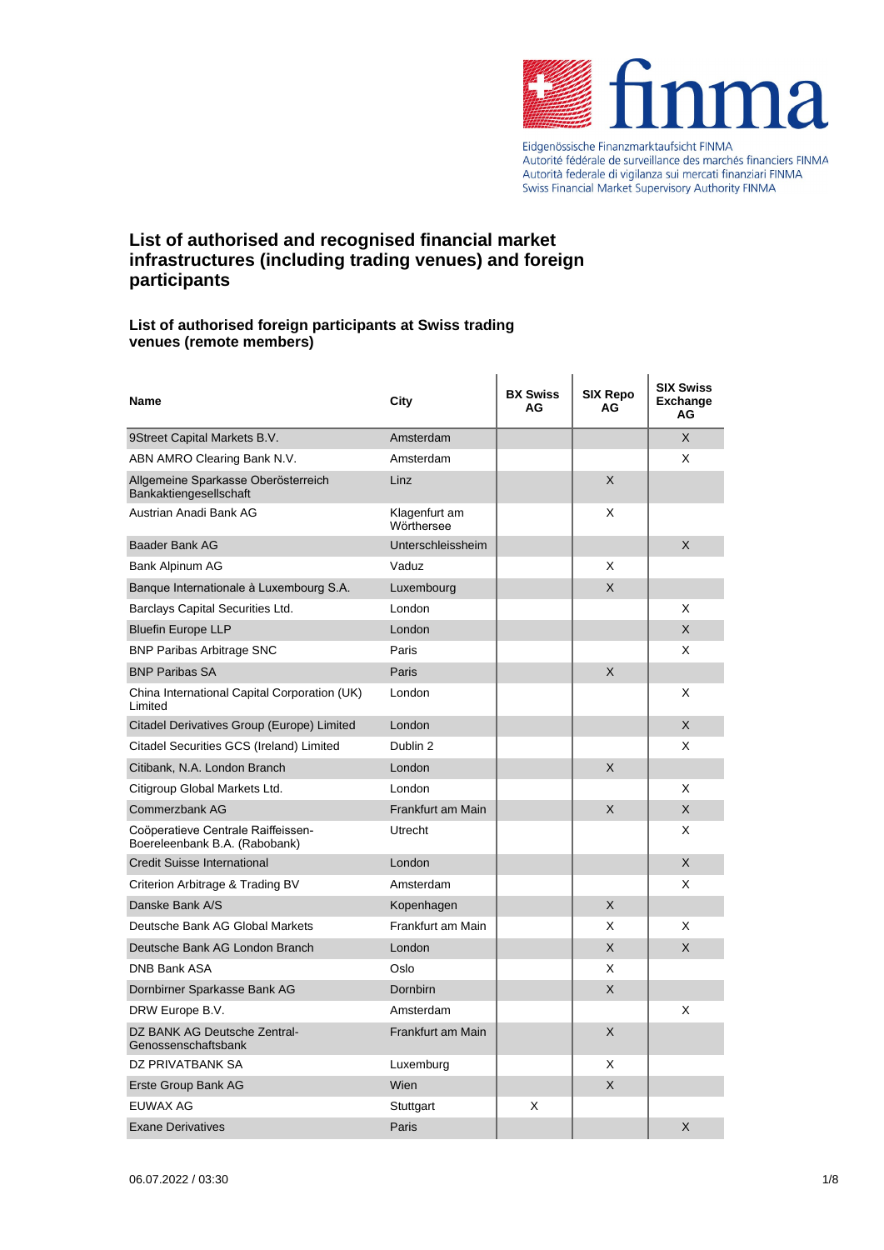

Autorité fédérale de surveillance des marchés financiers FINMA<br>Autorité fédérale de surveillance des marchés financiers FINMA Swiss Financial Market Supervisory Authority FINMA

# **List of authorised and recognised financial market infrastructures (including trading venues) and foreign participants**

#### **List of authorised foreign participants at Swiss trading venues (remote members)**

| Name                                                                | City                        | <b>BX Swiss</b><br>AG | <b>SIX Repo</b><br>AG | <b>SIX Swiss</b><br><b>Exchange</b><br>AG |
|---------------------------------------------------------------------|-----------------------------|-----------------------|-----------------------|-------------------------------------------|
| 9Street Capital Markets B.V.                                        | Amsterdam                   |                       |                       | X                                         |
| ABN AMRO Clearing Bank N.V.                                         | Amsterdam                   |                       |                       | X                                         |
| Allgemeine Sparkasse Oberösterreich<br>Bankaktiengesellschaft       | Linz                        |                       | X                     |                                           |
| Austrian Anadi Bank AG                                              | Klagenfurt am<br>Wörthersee |                       | X                     |                                           |
| <b>Baader Bank AG</b>                                               | Unterschleissheim           |                       |                       | X                                         |
| Bank Alpinum AG                                                     | Vaduz                       |                       | X                     |                                           |
| Banque Internationale à Luxembourg S.A.                             | Luxembourg                  |                       | X                     |                                           |
| Barclays Capital Securities Ltd.                                    | London                      |                       |                       | X                                         |
| <b>Bluefin Europe LLP</b>                                           | London                      |                       |                       | X                                         |
| <b>BNP Paribas Arbitrage SNC</b>                                    | Paris                       |                       |                       | X                                         |
| <b>BNP Paribas SA</b>                                               | Paris                       |                       | X                     |                                           |
| China International Capital Corporation (UK)<br>Limited             | London                      |                       |                       | X                                         |
| Citadel Derivatives Group (Europe) Limited                          | London                      |                       |                       | X                                         |
| Citadel Securities GCS (Ireland) Limited                            | Dublin 2                    |                       |                       | X                                         |
| Citibank, N.A. London Branch                                        | London                      |                       | X                     |                                           |
| Citigroup Global Markets Ltd.                                       | London                      |                       |                       | X                                         |
| Commerzbank AG                                                      | Frankfurt am Main           |                       | X                     | X                                         |
| Coöperatieve Centrale Raiffeissen-<br>Boereleenbank B.A. (Rabobank) | Utrecht                     |                       |                       | X                                         |
| <b>Credit Suisse International</b>                                  | London                      |                       |                       | X                                         |
| Criterion Arbitrage & Trading BV                                    | Amsterdam                   |                       |                       | X                                         |
| Danske Bank A/S                                                     | Kopenhagen                  |                       | X                     |                                           |
| Deutsche Bank AG Global Markets                                     | Frankfurt am Main           |                       | X                     | X                                         |
| Deutsche Bank AG London Branch                                      | London                      |                       | X                     | X                                         |
| <b>DNB Bank ASA</b>                                                 | Oslo                        |                       | X                     |                                           |
| Dornbirner Sparkasse Bank AG                                        | Dornbirn                    |                       | X                     |                                           |
| DRW Europe B.V.                                                     | Amsterdam                   |                       |                       | X                                         |
| DZ BANK AG Deutsche Zentral-<br>Genossenschaftsbank                 | Frankfurt am Main           |                       | X                     |                                           |
| DZ PRIVATBANK SA                                                    | Luxemburg                   |                       | X                     |                                           |
| Erste Group Bank AG                                                 | Wien                        |                       | X                     |                                           |
| EUWAX AG                                                            | Stuttgart                   | X                     |                       |                                           |
| <b>Exane Derivatives</b>                                            | Paris                       |                       |                       | X                                         |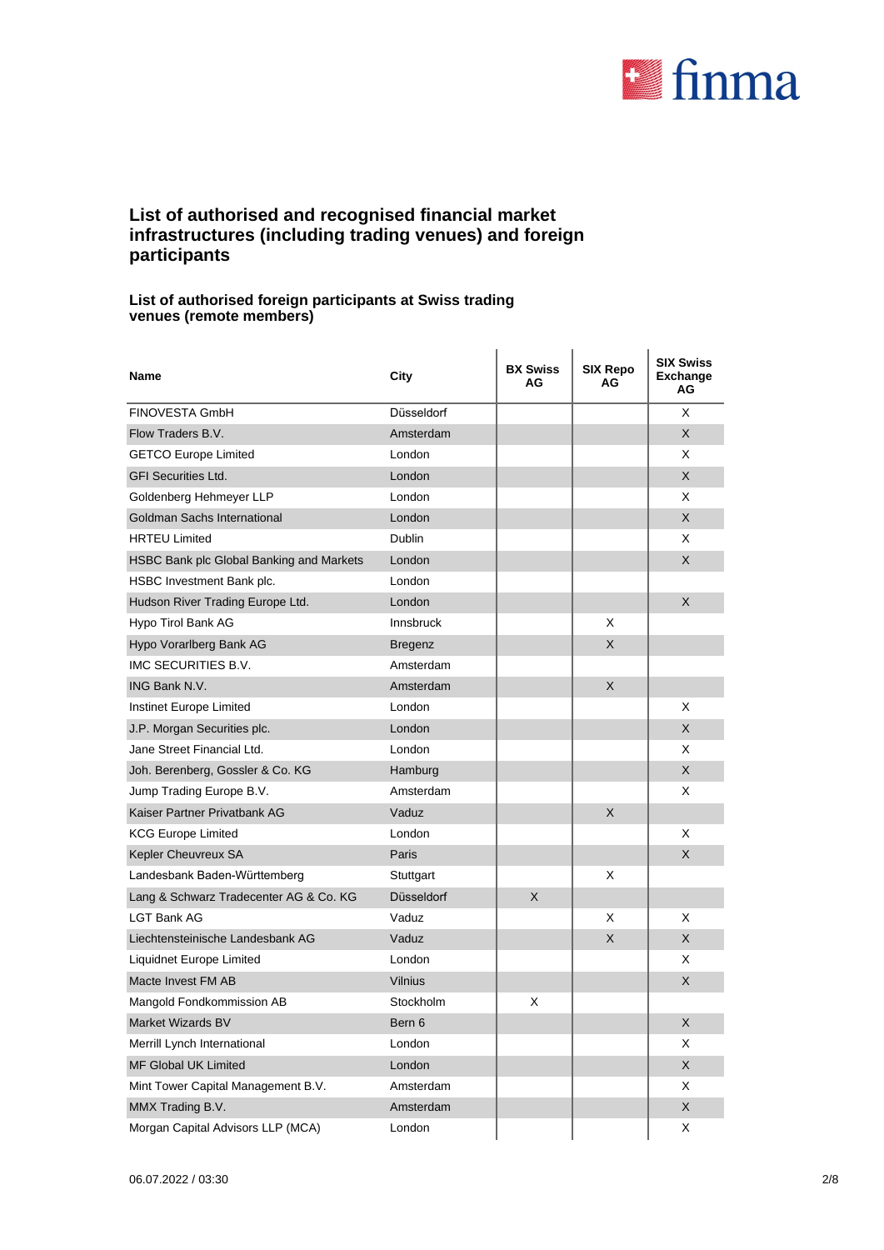

### **List of authorised and recognised financial market infrastructures (including trading venues) and foreign participants**

#### **List of authorised foreign participants at Swiss trading venues (remote members)**

| Name                                     | City             | <b>BX Swiss</b><br>AG | <b>SIX Repo</b><br>AG | <b>SIX Swiss</b><br><b>Exchange</b><br>ΑG |
|------------------------------------------|------------------|-----------------------|-----------------------|-------------------------------------------|
| <b>FINOVESTA GmbH</b>                    | Düsseldorf       |                       |                       | X                                         |
| Flow Traders B.V.                        | Amsterdam        |                       |                       | X                                         |
| <b>GETCO Europe Limited</b>              | London           |                       |                       | X                                         |
| <b>GFI Securities Ltd.</b>               | London           |                       |                       | X                                         |
| Goldenberg Hehmeyer LLP                  | London           |                       |                       | X                                         |
| Goldman Sachs International              | London           |                       |                       | X                                         |
| <b>HRTEU Limited</b>                     | Dublin           |                       |                       | X                                         |
| HSBC Bank plc Global Banking and Markets | London           |                       |                       | X                                         |
| HSBC Investment Bank plc.                | London           |                       |                       |                                           |
| Hudson River Trading Europe Ltd.         | London           |                       |                       | X                                         |
| Hypo Tirol Bank AG                       | <b>Innsbruck</b> |                       | X                     |                                           |
| Hypo Vorarlberg Bank AG                  | <b>Bregenz</b>   |                       | X                     |                                           |
| IMC SECURITIES B.V.                      | Amsterdam        |                       |                       |                                           |
| <b>ING Bank N.V.</b>                     | Amsterdam        |                       | X                     |                                           |
| Instinet Europe Limited                  | London           |                       |                       | X                                         |
| J.P. Morgan Securities plc.              | London           |                       |                       | X                                         |
| Jane Street Financial Ltd.               | London           |                       |                       | X                                         |
| Joh. Berenberg, Gossler & Co. KG         | Hamburg          |                       |                       | X                                         |
| Jump Trading Europe B.V.                 | Amsterdam        |                       |                       | X                                         |
| Kaiser Partner Privatbank AG             | Vaduz            |                       | X                     |                                           |
| <b>KCG Europe Limited</b>                | London           |                       |                       | X                                         |
| Kepler Cheuvreux SA                      | Paris            |                       |                       | X                                         |
| Landesbank Baden-Württemberg             | Stuttgart        |                       | X                     |                                           |
| Lang & Schwarz Tradecenter AG & Co. KG   | Düsseldorf       | X                     |                       |                                           |
| I GT Bank AG                             | Vaduz            |                       | X                     | X                                         |
| Liechtensteinische Landesbank AG         | Vaduz            |                       | X                     | X                                         |
| Liquidnet Europe Limited                 | London           |                       |                       | X                                         |
| Macte Invest FM AB                       | Vilnius          |                       |                       | X                                         |
| Mangold Fondkommission AB                | Stockholm        | Χ                     |                       |                                           |
| Market Wizards BV                        | Bern 6           |                       |                       | X                                         |
| Merrill Lynch International              | London           |                       |                       | Χ                                         |
| MF Global UK Limited                     | London           |                       |                       | X                                         |
| Mint Tower Capital Management B.V.       | Amsterdam        |                       |                       | X                                         |
| MMX Trading B.V.                         | Amsterdam        |                       |                       | X                                         |
| Morgan Capital Advisors LLP (MCA)        | London           |                       |                       | X                                         |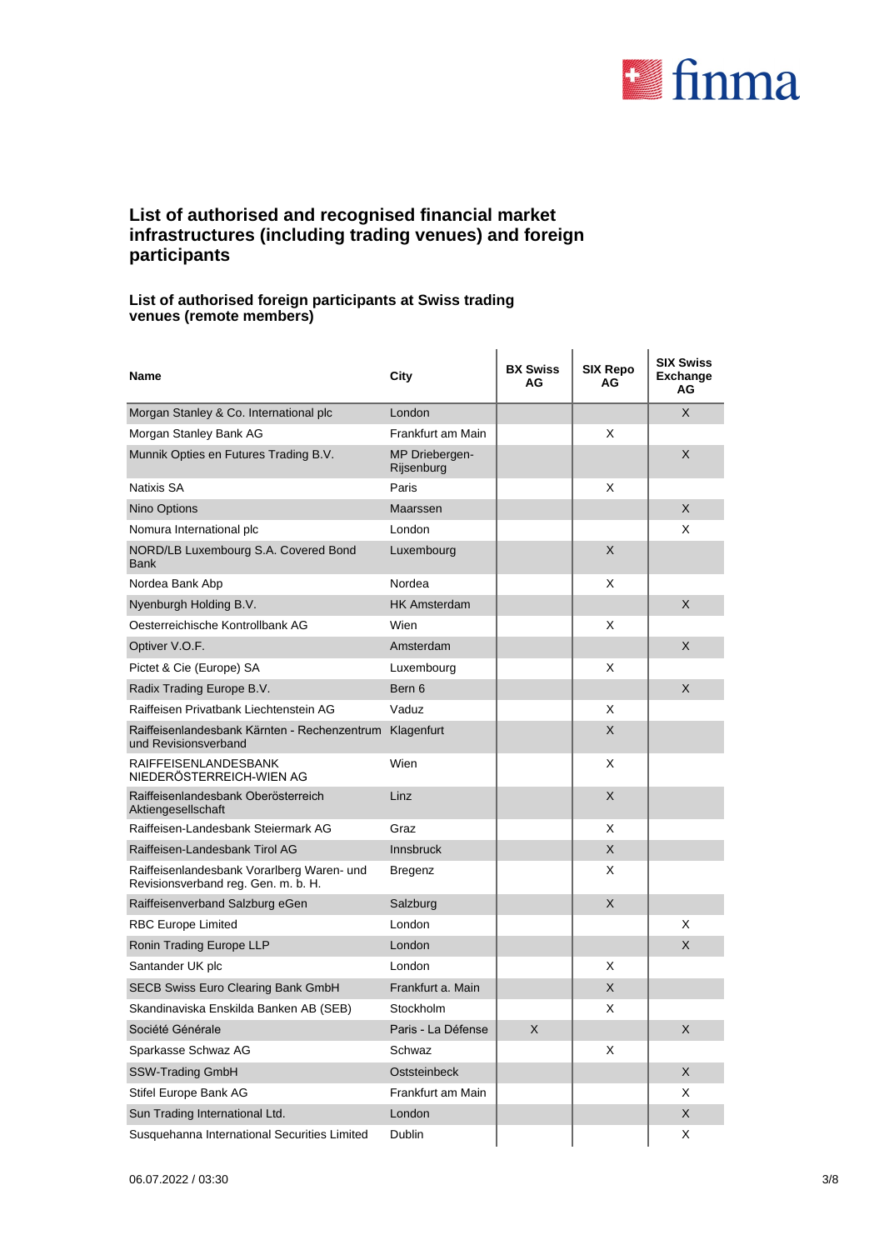

### **List of authorised and recognised financial market infrastructures (including trading venues) and foreign participants**

#### **List of authorised foreign participants at Swiss trading venues (remote members)**

| Name                                                                              | City                         | <b>BX Swiss</b><br>AG | <b>SIX Repo</b><br>AG | <b>SIX Swiss</b><br><b>Exchange</b><br>ΑG |
|-----------------------------------------------------------------------------------|------------------------------|-----------------------|-----------------------|-------------------------------------------|
| Morgan Stanley & Co. International plc                                            | London                       |                       |                       | X                                         |
| Morgan Stanley Bank AG                                                            | Frankfurt am Main            |                       | X                     |                                           |
| Munnik Opties en Futures Trading B.V.                                             | MP Driebergen-<br>Rijsenburg |                       |                       | X                                         |
| <b>Natixis SA</b>                                                                 | Paris                        |                       | X                     |                                           |
| Nino Options                                                                      | Maarssen                     |                       |                       | X                                         |
| Nomura International plc                                                          | London                       |                       |                       | X                                         |
| NORD/LB Luxembourg S.A. Covered Bond<br><b>Bank</b>                               | Luxembourg                   |                       | X                     |                                           |
| Nordea Bank Abp                                                                   | Nordea                       |                       | X                     |                                           |
| Nyenburgh Holding B.V.                                                            | <b>HK Amsterdam</b>          |                       |                       | X                                         |
| Oesterreichische Kontrollbank AG                                                  | Wien                         |                       | X                     |                                           |
| Optiver V.O.F.                                                                    | Amsterdam                    |                       |                       | X                                         |
| Pictet & Cie (Europe) SA                                                          | Luxembourg                   |                       | X                     |                                           |
| Radix Trading Europe B.V.                                                         | Bern 6                       |                       |                       | X                                         |
| Raiffeisen Privatbank Liechtenstein AG                                            | Vaduz                        |                       | X                     |                                           |
| Raiffeisenlandesbank Kärnten - Rechenzentrum<br>und Revisionsverband              | Klagenfurt                   |                       | X                     |                                           |
| <b>RAIFFEISENLANDESBANK</b><br>NIEDERÖSTERREICH-WIEN AG                           | Wien                         |                       | X                     |                                           |
| Raiffeisenlandesbank Oberösterreich<br>Aktiengesellschaft                         | Linz                         |                       | X                     |                                           |
| Raiffeisen-Landesbank Steiermark AG                                               | Graz                         |                       | X                     |                                           |
| Raiffeisen-Landesbank Tirol AG                                                    | <b>Innsbruck</b>             |                       | X                     |                                           |
| Raiffeisenlandesbank Vorarlberg Waren- und<br>Revisionsverband reg. Gen. m. b. H. | Bregenz                      |                       | X                     |                                           |
| Raiffeisenverband Salzburg eGen                                                   | Salzburg                     |                       | X                     |                                           |
| <b>RBC Europe Limited</b>                                                         | London                       |                       |                       | X                                         |
| Ronin Trading Europe LLP                                                          | London                       |                       |                       | X                                         |
| Santander UK plc                                                                  | London                       |                       | X                     |                                           |
| SECB Swiss Euro Clearing Bank GmbH                                                | Frankfurt a. Main            |                       | X                     |                                           |
| Skandinaviska Enskilda Banken AB (SEB)                                            | Stockholm                    |                       | X                     |                                           |
| Société Générale                                                                  | Paris - La Défense           | X                     |                       | X                                         |
| Sparkasse Schwaz AG                                                               | Schwaz                       |                       | Χ                     |                                           |
| SSW-Trading GmbH                                                                  | Oststeinbeck                 |                       |                       | X                                         |
| Stifel Europe Bank AG                                                             | Frankfurt am Main            |                       |                       | Χ                                         |
| Sun Trading International Ltd.                                                    | London                       |                       |                       | X                                         |
| Susquehanna International Securities Limited                                      | <b>Dublin</b>                |                       |                       | Χ                                         |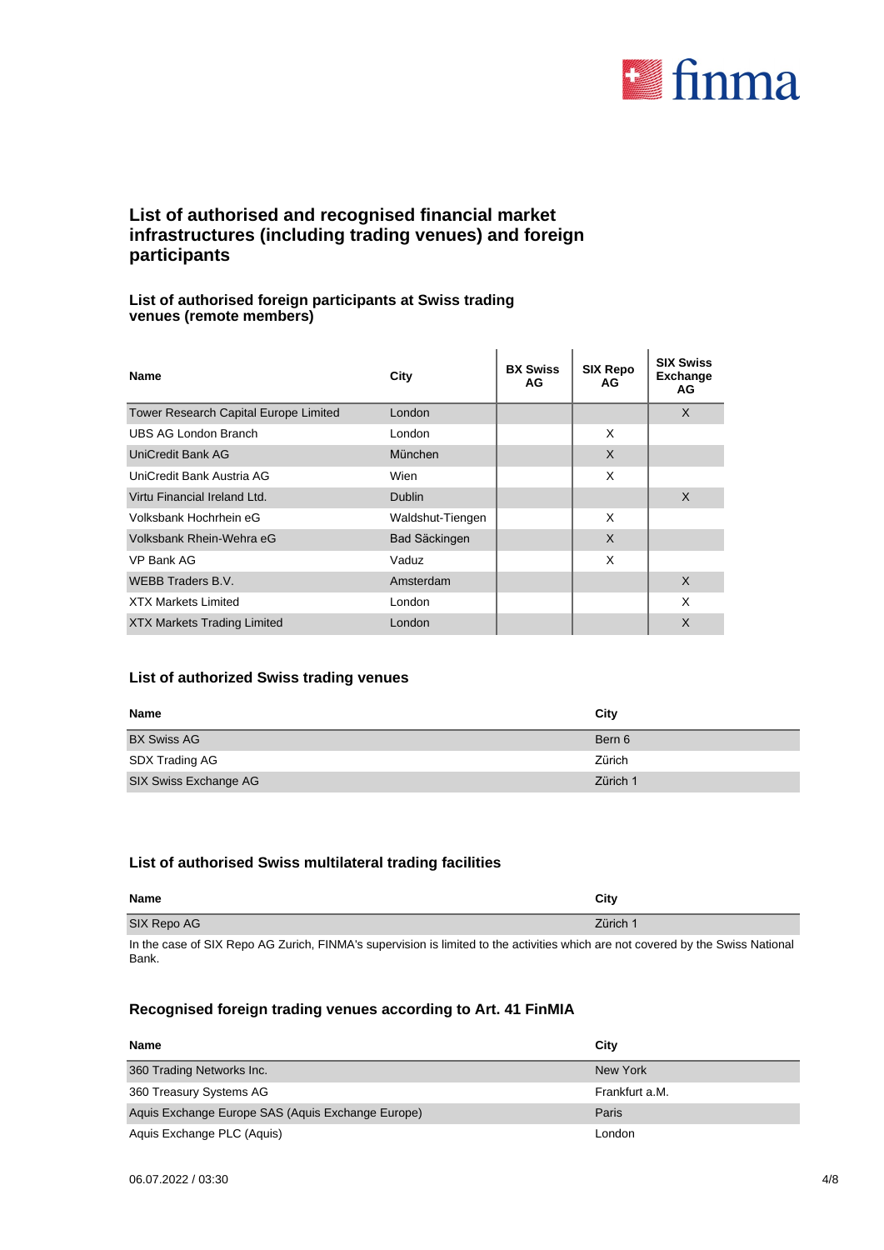

### **List of authorised and recognised financial market infrastructures (including trading venues) and foreign participants**

### **List of authorised foreign participants at Swiss trading venues (remote members)**

| Name                                  | City                 | <b>BX Swiss</b><br>AG | <b>SIX Repo</b><br>AG | <b>SIX Swiss</b><br><b>Exchange</b><br>AG |
|---------------------------------------|----------------------|-----------------------|-----------------------|-------------------------------------------|
| Tower Research Capital Europe Limited | London               |                       |                       | X                                         |
| <b>UBS AG London Branch</b>           | London               |                       | X                     |                                           |
| <b>UniCredit Bank AG</b>              | München              |                       | $\mathsf{X}$          |                                           |
| UniCredit Bank Austria AG             | Wien                 |                       | X                     |                                           |
| Virtu Financial Ireland Ltd.          | <b>Dublin</b>        |                       |                       | X                                         |
| Volksbank Hochrhein eG                | Waldshut-Tiengen     |                       | X                     |                                           |
| Volksbank Rhein-Wehra eG              | <b>Bad Säckingen</b> |                       | X                     |                                           |
| VP Bank AG                            | Vaduz                |                       | X                     |                                           |
| <b>WEBB Traders B.V.</b>              | Amsterdam            |                       |                       | X                                         |
| <b>XTX Markets Limited</b>            | London               |                       |                       | X                                         |
| <b>XTX Markets Trading Limited</b>    | London               |                       |                       | X                                         |

### **List of authorized Swiss trading venues**

| <b>Name</b>           | City     |
|-----------------------|----------|
| <b>BX Swiss AG</b>    | Bern 6   |
| SDX Trading AG        | Zürich   |
| SIX Swiss Exchange AG | Zürich 1 |

#### **List of authorised Swiss multilateral trading facilities**

| Name        | City     |
|-------------|----------|
| SIX Repo AG | Zürich 1 |
|             |          |

In the case of SIX Repo AG Zurich, FINMA's supervision is limited to the activities which are not covered by the Swiss National Bank.

### **Recognised foreign trading venues according to Art. 41 FinMIA**

| Name                                              | City           |
|---------------------------------------------------|----------------|
| 360 Trading Networks Inc.                         | New York       |
| 360 Treasury Systems AG                           | Frankfurt a.M. |
| Aquis Exchange Europe SAS (Aquis Exchange Europe) | Paris          |
| Aquis Exchange PLC (Aquis)                        | London         |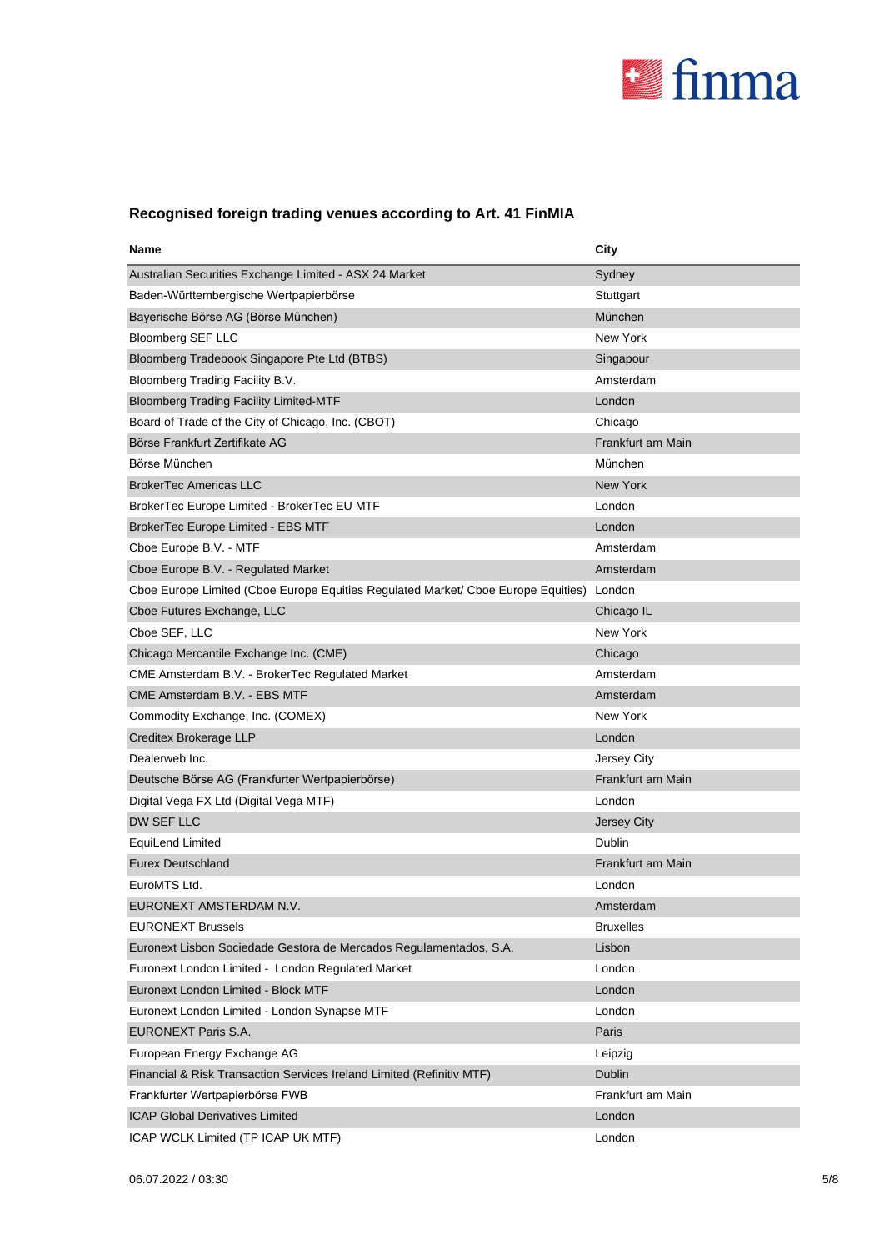

# **Recognised foreign trading venues according to Art. 41 FinMIA**

| Name                                                                              | City              |
|-----------------------------------------------------------------------------------|-------------------|
| Australian Securities Exchange Limited - ASX 24 Market                            | Sydney            |
| Baden-Württembergische Wertpapierbörse                                            | Stuttgart         |
| Bayerische Börse AG (Börse München)                                               | München           |
| <b>Bloomberg SEF LLC</b>                                                          | New York          |
| Bloomberg Tradebook Singapore Pte Ltd (BTBS)                                      | Singapour         |
| Bloomberg Trading Facility B.V.                                                   | Amsterdam         |
| <b>Bloomberg Trading Facility Limited-MTF</b>                                     | London            |
| Board of Trade of the City of Chicago, Inc. (CBOT)                                | Chicago           |
| Börse Frankfurt Zertifikate AG                                                    | Frankfurt am Main |
| Börse München                                                                     | München           |
| <b>BrokerTec Americas LLC</b>                                                     | New York          |
| BrokerTec Europe Limited - BrokerTec EU MTF                                       | London            |
| BrokerTec Europe Limited - EBS MTF                                                | London            |
| Cboe Europe B.V. - MTF                                                            | Amsterdam         |
| Cboe Europe B.V. - Regulated Market                                               | Amsterdam         |
| Cboe Europe Limited (Cboe Europe Equities Regulated Market/ Cboe Europe Equities) | London            |
| Cboe Futures Exchange, LLC                                                        | Chicago IL        |
| Cboe SEF, LLC                                                                     | <b>New York</b>   |
| Chicago Mercantile Exchange Inc. (CME)                                            | Chicago           |
| CME Amsterdam B.V. - BrokerTec Regulated Market                                   | Amsterdam         |
| CME Amsterdam B.V. - EBS MTF                                                      | Amsterdam         |
| Commodity Exchange, Inc. (COMEX)                                                  | New York          |
| Creditex Brokerage LLP                                                            | London            |
| Dealerweb Inc.                                                                    | Jersey City       |
| Deutsche Börse AG (Frankfurter Wertpapierbörse)                                   | Frankfurt am Main |
| Digital Vega FX Ltd (Digital Vega MTF)                                            | London            |
| DW SEF LLC                                                                        | Jersey City       |
| EquiLend Limited                                                                  | Dublin            |
| <b>Eurex Deutschland</b>                                                          | Frankfurt am Main |
| EuroMTS Ltd.                                                                      | London            |
| EURONEXT AMSTERDAM N.V                                                            | Amsterdam         |
| <b>EURONEXT Brussels</b>                                                          | <b>Bruxelles</b>  |
| Euronext Lisbon Sociedade Gestora de Mercados Regulamentados, S.A.                | Lisbon            |
| Euronext London Limited - London Regulated Market                                 | London            |
| Euronext London Limited - Block MTF                                               | London            |
| Euronext London Limited - London Synapse MTF                                      | London            |
| EURONEXT Paris S.A.                                                               | Paris             |
| European Energy Exchange AG                                                       | Leipzig           |
| Financial & Risk Transaction Services Ireland Limited (Refinitiv MTF)             | Dublin            |
| Frankfurter Wertpapierbörse FWB                                                   | Frankfurt am Main |
| <b>ICAP Global Derivatives Limited</b>                                            | London            |
| ICAP WCLK Limited (TP ICAP UK MTF)                                                | London            |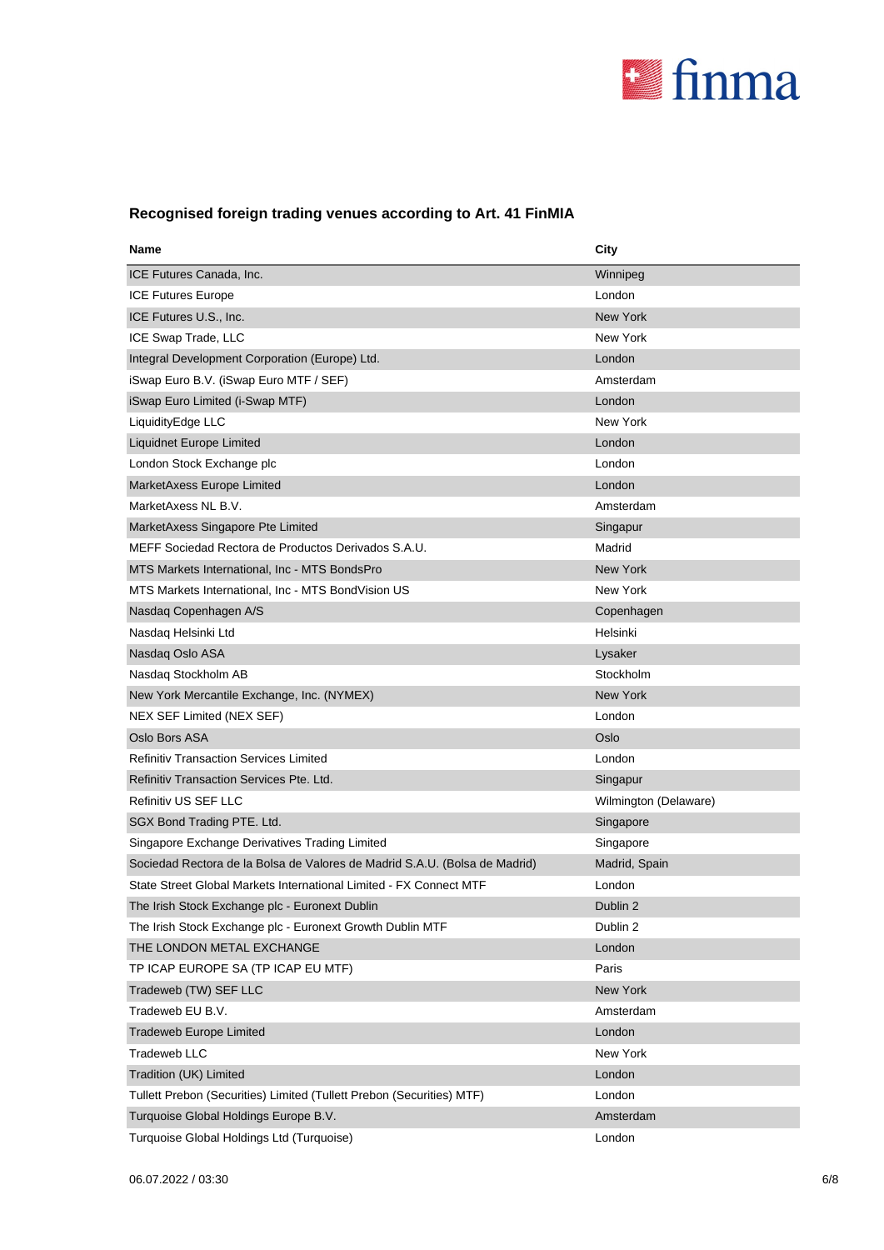

# **Recognised foreign trading venues according to Art. 41 FinMIA**

| Name                                                                       | City                  |
|----------------------------------------------------------------------------|-----------------------|
| ICE Futures Canada, Inc.                                                   | Winnipeg              |
| <b>ICE Futures Europe</b>                                                  | London                |
| ICE Futures U.S., Inc.                                                     | New York              |
| ICE Swap Trade, LLC                                                        | New York              |
| Integral Development Corporation (Europe) Ltd.                             | London                |
| iSwap Euro B.V. (iSwap Euro MTF / SEF)                                     | Amsterdam             |
| iSwap Euro Limited (i-Swap MTF)                                            | London                |
| LiquidityEdge LLC                                                          | New York              |
| Liquidnet Europe Limited                                                   | London                |
| London Stock Exchange plc                                                  | London                |
| MarketAxess Europe Limited                                                 | London                |
| MarketAxess NL B.V.                                                        | Amsterdam             |
| MarketAxess Singapore Pte Limited                                          | Singapur              |
| MEFF Sociedad Rectora de Productos Derivados S.A.U.                        | Madrid                |
| MTS Markets International, Inc - MTS BondsPro                              | <b>New York</b>       |
| MTS Markets International, Inc - MTS BondVision US                         | New York              |
| Nasdag Copenhagen A/S                                                      | Copenhagen            |
| Nasdaq Helsinki Ltd                                                        | Helsinki              |
| Nasdaq Oslo ASA                                                            | Lysaker               |
| Nasdaq Stockholm AB                                                        | Stockholm             |
| New York Mercantile Exchange, Inc. (NYMEX)                                 | New York              |
| NEX SEF Limited (NEX SEF)                                                  | London                |
| Oslo Bors ASA                                                              | Oslo                  |
| <b>Refinitiv Transaction Services Limited</b>                              | London                |
| Refinitiv Transaction Services Pte. Ltd.                                   | Singapur              |
| Refinitiv US SEF LLC                                                       | Wilmington (Delaware) |
| SGX Bond Trading PTE. Ltd.                                                 | Singapore             |
| Singapore Exchange Derivatives Trading Limited                             | Singapore             |
| Sociedad Rectora de la Bolsa de Valores de Madrid S.A.U. (Bolsa de Madrid) | Madrid, Spain         |
| State Street Global Markets International Limited - FX Connect MTF         | London                |
| The Irish Stock Exchange plc - Euronext Dublin                             | Dublin 2              |
| The Irish Stock Exchange plc - Euronext Growth Dublin MTF                  | Dublin 2              |
| THE LONDON METAL EXCHANGE                                                  | London                |
| TP ICAP EUROPE SA (TP ICAP EU MTF)                                         | Paris                 |
| Tradeweb (TW) SEF LLC                                                      | New York              |
| Tradeweb EU B.V.                                                           | Amsterdam             |
| Tradeweb Europe Limited                                                    | London                |
| Tradeweb LLC                                                               | New York              |
| Tradition (UK) Limited                                                     | London                |
| Tullett Prebon (Securities) Limited (Tullett Prebon (Securities) MTF)      | London                |
| Turquoise Global Holdings Europe B.V.                                      | Amsterdam             |
| Turquoise Global Holdings Ltd (Turquoise)                                  | London                |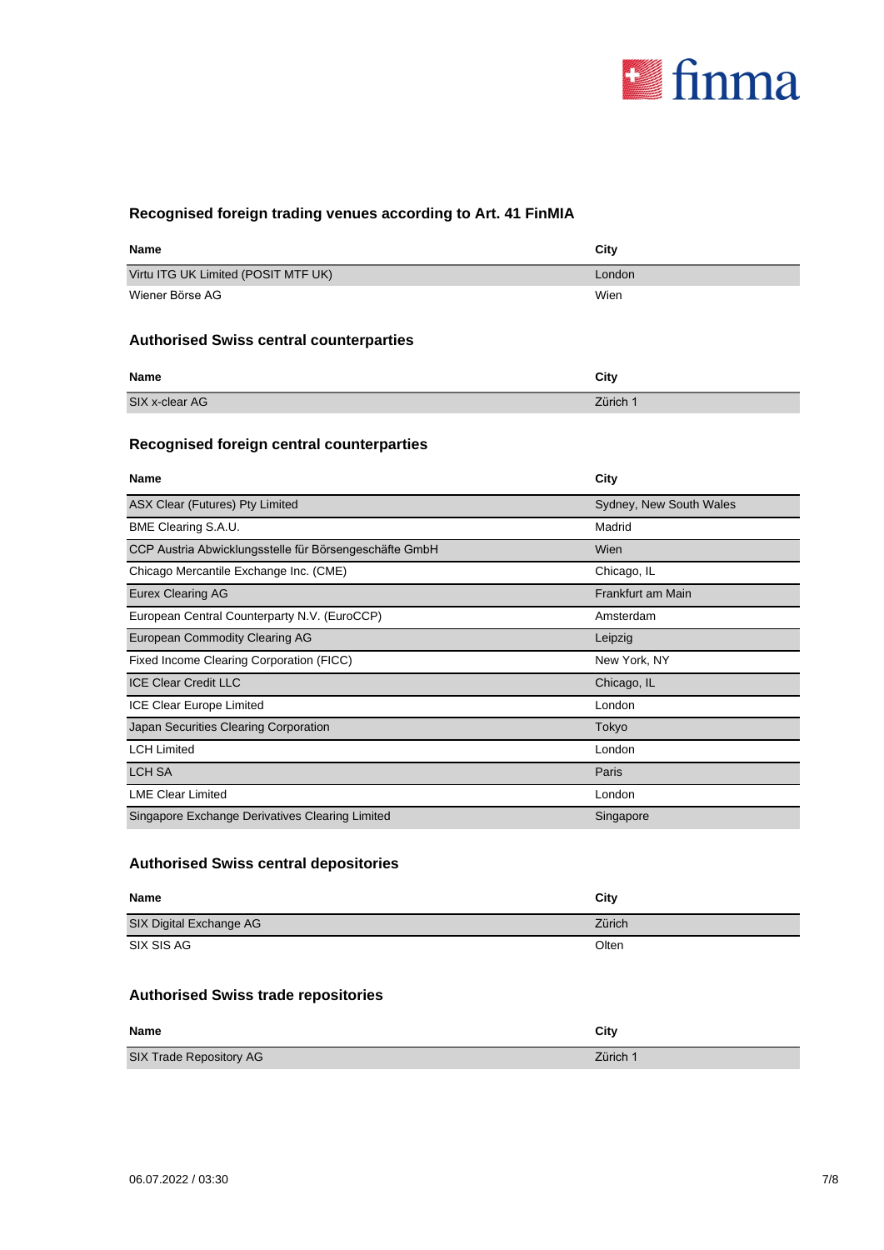

# **Recognised foreign trading venues according to Art. 41 FinMIA**

| <b>Name</b>                                    | City   |
|------------------------------------------------|--------|
| Virtu ITG UK Limited (POSIT MTF UK)            | London |
| Wiener Börse AG                                | Wien   |
| <b>Authorised Swiss central counterparties</b> |        |
| <b>Name</b>                                    | City   |

| <b>Name</b>    | City     |
|----------------|----------|
| SIX x-clear AG | Zürich 1 |

# **Recognised foreign central counterparties**

| <b>Name</b>                                            | City                    |
|--------------------------------------------------------|-------------------------|
| ASX Clear (Futures) Pty Limited                        | Sydney, New South Wales |
| BME Clearing S.A.U.                                    | Madrid                  |
| CCP Austria Abwicklungsstelle für Börsengeschäfte GmbH | Wien                    |
| Chicago Mercantile Exchange Inc. (CME)                 | Chicago, IL             |
| <b>Eurex Clearing AG</b>                               | Frankfurt am Main       |
| European Central Counterparty N.V. (EuroCCP)           | Amsterdam               |
| European Commodity Clearing AG                         | Leipzig                 |
| Fixed Income Clearing Corporation (FICC)               | New York, NY            |
| <b>ICE Clear Credit LLC</b>                            | Chicago, IL             |
| <b>ICE Clear Europe Limited</b>                        | London                  |
| Japan Securities Clearing Corporation                  | Tokyo                   |
| <b>LCH Limited</b>                                     | London                  |
| <b>LCH SA</b>                                          | Paris                   |
| <b>LME Clear Limited</b>                               | London                  |
| Singapore Exchange Derivatives Clearing Limited        | Singapore               |

### **Authorised Swiss central depositories**

| <b>Name</b>                                | City     |
|--------------------------------------------|----------|
| SIX Digital Exchange AG                    | Zürich   |
| SIX SIS AG                                 | Olten    |
| <b>Authorised Swiss trade repositories</b> |          |
| <b>Name</b>                                | City     |
| SIX Trade Repository AG                    | Zürich 1 |